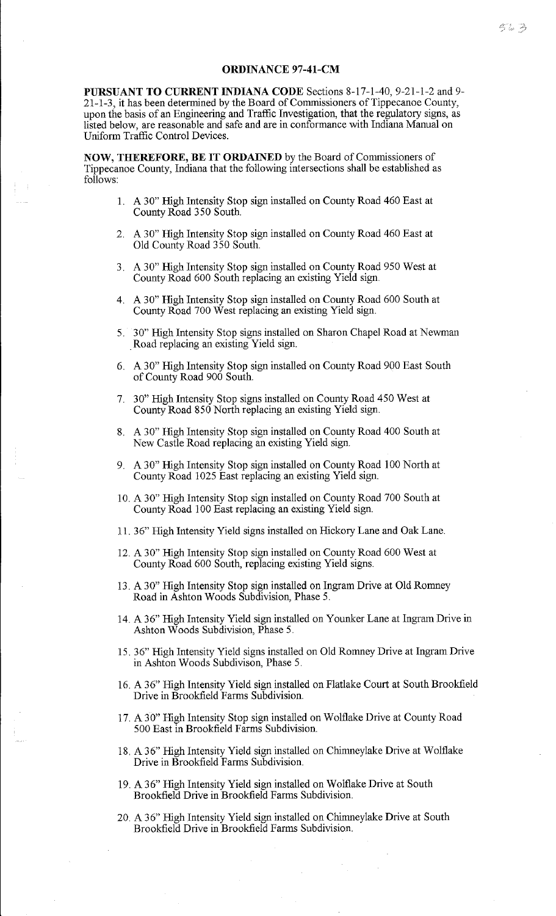**PURSUANT TO CURRENT INDIANA CODE** Sections 8-17-1-40, 9-21-1-2 and 9- 21-1-3, it has been determined by the Board of Commissioners of Tippecanoe County, upon the basis of an Engineering and Traffic Investigation, that the regulatory signs, as listed below, are reasonable and safe and are in conformance with Indiana Manual on Uniform Traffic Control Devices.

**NOW, THEREFORE, BE IT ORDAINED** by the Board of Commissioners of Tippecanoe County, Indiana that the following intersections shall be established as follows:

- 1. A 30" High Intensity Stop sign installed on County Road 460 East at County Road 350 South.
- 2. A 30" High Intensity Stop sign installed on County Road 460 East at Old County Road 350 South.
- 3. A 30" High Intensity Stop sign installed on County Road 950 West at County Road 600 South replacing an existing Yield sign.
- 4. A 30" High Intensity Stop sign installed on County Road 600 South at County Road 700 West replacing an existing Yield sign.
- 5. 30" High Intensity Stop signs installed on Sharon Chapel Road at Newman . Road replacing an existing Yield sign.
- 6. A 30" High Intensity Stop sign installed on County Road 900 East South of County Road 900 South.
- 7. 30" High Intensity Stop signs installed on County Road 450 West at County Road 850 North replacing an existing Yield sign.
- 8. A 30" High Intensity Stop sign installed on County Road 400 South at New Castle Road replacing an existing Yield sign.
- 9. A 30" High Intensity Stop sign installed on County Road 100 North at County Road 1025 East replacing an existing Yield sign.
- 10. A 30" High Intensity Stop sign installed on County Road 700 South at County Road 100 East replacing an existing Yield sign.
- 11. 36" High Intensity Yield signs installed on Hickory Lane and Oak Lane.
- 12. A 30" High Intensity Stop sign installed on County Road 600 West at County Road 600 South, replacing existing Yield signs.
- 13. A 30" High Intensity Stop sign installed on Ingram Drive at Old Romney Road in Ashton Woods Subdivision, Phase 5.
- 14. A 36" High Intensity Yield sign installed on Younker Lane at Ingram Drive in Ashton Woods Subdivision, Phase 5.
- 15. 36" High Intensity Yield signs installed on Old Romney Drive at Ingram Drive in Ashton Woods Subdivison, Phase 5.
- 16. A 36" High Intensity Yield sign installed on Flatlake Court at South Brookfield Drive in Brookfield Farms Subdivision.
- 17. A 30" High Intensity Stop sign installed on Wolflake Drive at County Road 500 East in Brookfield Farms Subdivision.
- 18. A 36" High Intensity Yield sign installed on Chimneylake Drive at Wolflake Drive in Brookfield Farms Subdivision.
- 19. A 36" High Intensity Yield sign installed on Wolflake Drive at South Brookfield Drive in Brookfield Farms Subdivision.
- 20. A 36" High Intensity Yield sign installed on Chimneylake Drive at South Brookfield Drive in Brookfield Farms Subdivision.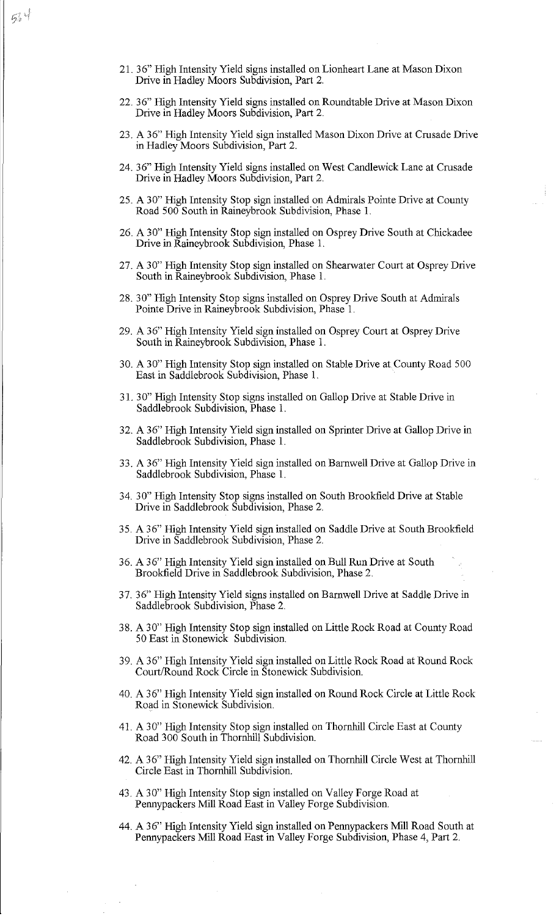- 22. 36" High Intensity Yield signs installed on Roundtable Drive at Mason Dixon Drive in Hadley Moors Subdivision, Part 2.
- 23. A 36" High Intensity Yield sign installed Mason Dixon Drive at Crusade Drive in Hadley Moors Subdivision, Part 2.
- 24. 36" High Intensity Yield signs installed on West Candlewick Lane at Crusade Drive in Hadley Moors Subdivision, Part 2.
- 25. A 30" High Intensity Stop sign installed on Admirals Pointe Drive at County Road 500 South in Raineybrook Subdivision, Phase 1.
- 26. A 30" High Intensity Stop sign installed on Osprey Drive South at Chickadee Drive in Raineybrook Subdivision, Phase 1.
- 27. A 30" High Intensity Stop sign installed on Shearwater Court at Osprey Drive South in Raineybrook Subdivision, Phase 1.
- 28. 30" High Intensity Stop signs installed on Osprey Drive South at Admirals Pointe Drive in Raineybrook Subdivision, Phase 1.
- 29. A 36" High Intensity Yield sign installed on Osprey Court at Osprey Drive South in Raineybrook Subdivision, Phase 1.
- 30. A 30" High Intensity Stop sign installed on Stable Drive at County Road 500 East in Saddlebrook Subdivision, Phase I.
- 31. 30" High Intensity Stop signs installed on Gallop Drive at Stable Drive in Saddlebrook Subdivision, Phase I.
- 32. A 36" High Intensity Yield sign installed on Sprinter Drive at Gallop Drive in Saddlebrook Subdivision, Phase 1.
- 33. A 36" High Intensity Yield sign installed on Barnwell Drive at Gallop Drive in Saddlebrook Subdivision, Phase 1.
- 34. 30" High Intensity Stop signs installed on South Brookfield Drive at Stable Drive in Saddlebrook Subdivision, Phase 2.
- 35. A 36" High Intensity Yield sign installed on Saddle Drive at South Brookfield Drive in Saddlebrook Subdivision, Phase 2.
- 36. A 36" High Intensity Yield sign installed on Bull Run Drive at South Brookfield Drive in Saddlebrook Subdivision, Phase 2.
- 37. 36" High Intensity Yield signs installed on Barnwell Drive at Saddle Drive in Saddlebrook Subdivision, Phase 2.
- 3 8. A 3 O" High Intensity Stop sign installed on Little Rock Road at County Road 50 East in Stonewick Subdivision.
- 39. A 36" High Intensity Yield sign installed on Little Rock Road at Round Rock Court/Round Rock Circle in Stonewick Subdivision.
- 40. A 3 6" High Intensity Yield sign installed on Round Rock Circle at Little Rock Road in Stonewick Subdivision.
- 41. A 30" High Intensity Stop sign installed on Thornhill Circle East at County Road 300 South in Thornhill Subdivision.
- 42. A 36" High Intensity Yield sign installed on Thornhill Circle West at Thornhill Circle East in Thornhill Subdivision.
- 43. A 30" High Intensity Stop sign installed on Valley Forge Road at Pennypackers Mill Road East in Valley Forge Subdivision.
- 44. A 36" High Intensity Yield sign installed on Pennypackers Mill Road South at Pennypackers Mill Road East in Valley Forge Subdivision, Phase 4, Part 2.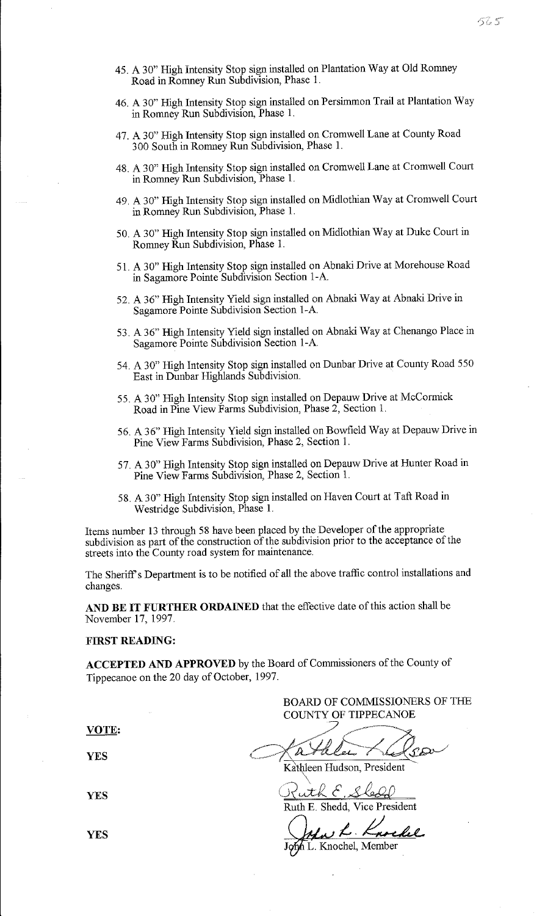- 45. A 30" High Intensity Stop sign installed on Plantation Way at Old Romney Road in Romney Run Subdivision, Phase 1.
- 46. A 30" High Intensity Stop sign installed on Persimmon Trail at Plantation Way in Romney Run Subdivision, Phase 1.
- 47. A 30" High Intensity Stop sign installed on Cromwell Lane at County Road 3 00 South in Romney Run Subdivision, Phase 1.
- 48. A 30" High Intensity Stop sign installed on Cromwell Lane at Cromwell Court in Romney Run Subdivision, Phase 1.
- 49. A 30" High Intensity Stop sign installed on Midlothian Way at Cromwell Court in Romney Run Subdivision, Phase 1.
- 50. A 30" High Intensity Stop sign installed on Midlothian Way at Duke Court in Romney Run Subdivision, Phase 1.
- 51. A 30" High Intensity Stop sign installed on Abnaki Drive at Morehouse Road in Sagamore Pointe Subdivision Section 1-A
- 52. A 36" High Intensity Yield sign installed on Abnaki Way at Abnaki Drive in Sagamore Pointe Subdivision Section 1-A
- 53. A 36" High Intensity Yield sign installed on Abnaki Way at Chenango Place in Sagamore Pointe Subdivision Section 1-A
- 54. A 30" High Intensity Stop sign installed on Dunbar Drive at County Road 550 East in Dunbar Highlands Subdivision.
- 55. A 30" High Intensity Stop sign installed on Depauw Drive at McCormick Road in Pine View Farms Subdivision, Phase 2, Section 1.
- 56. A 36" High Intensity Yield sign installed on Bowfield Way at Depauw Drive in Pine View Farms Subdivision, Phase 2, Section 1.
- 57. A 30" High Intensity Stop sign installed on Depauw Drive at Hunter Road in Pine View Farms Subdivision, Phase 2, Section 1.
- 58. A 30" High Intensity Stop sign installed on Haven Court at Taft Road in Westridge Subdivision, Phase L

Items number 13 through 58 have been placed by the Developer of the appropriate subdivision as part of the construction of the subdivision prior to the acceptance of the streets into the County road system for maintenance.

The Sheriff's Department is to be notified of all the above traffic control installations and changes.

**AND BE IT FURTHER ORDAINED** that the effective date of this action shall be November 17, 1997.

## **FIRST READING:**

**ACCEPTED AND APPROVED** by the Board of Commissioners of the County of Tippecanoe on the 20 day of October, 1997.

BOARD OF COMMISSIONERS OF THE COUNTY OF TIPPECANOE

**VOTE:** 

**YES** 

**YES** 

/ -~---  $\ell\ell_{2}+\ell\ell_{2}$ Kathleen Hudson, President

 $\diagdown$ uth E. Sledd

Ruth E Shedd, Vice President

L. Knocke

h L. Knochel, Member **J** 

**YES**